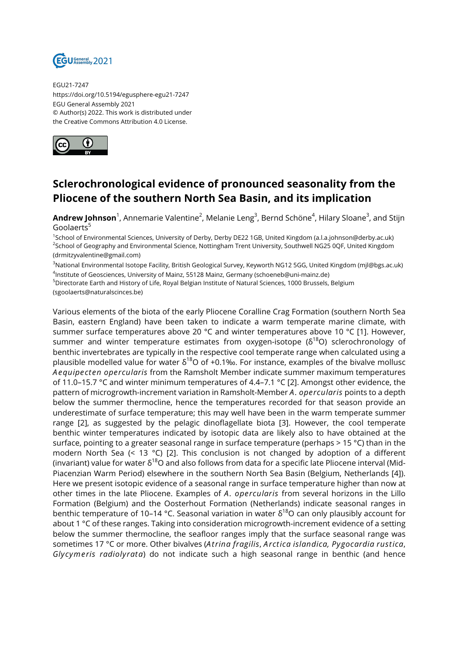

EGU21-7247 https://doi.org/10.5194/egusphere-egu21-7247 EGU General Assembly 2021 © Author(s) 2022. This work is distributed under the Creative Commons Attribution 4.0 License.



## **Sclerochronological evidence of pronounced seasonality from the Pliocene of the southern North Sea Basin, and its implication**

**Andrew Johnson**<sup>1</sup>, Annemarie Valentine<sup>2</sup>, Melanie Leng<sup>3</sup>, Bernd Schöne<sup>4</sup>, Hilary Sloane<sup>3</sup>, and Stijn Goolaerts<sup>5</sup>

1 School of Environmental Sciences, University of Derby, Derby DE22 1GB, United Kingdom (a.l.a.johnson@derby.ac.uk) <sup>2</sup>School of Geography and Environmental Science, Nottingham Trent University, Southwell NG25 0QF, United Kingdom (drmitzyvalentine@gmail.com)

<sup>3</sup>National Environmental Isotope Facility, British Geological Survey, Keyworth NG12 5GG, United Kingdom (mjl@bgs.ac.uk) 4 Institute of Geosciences, University of Mainz, 55128 Mainz, Germany (schoeneb@uni-mainz.de)

<sup>5</sup>Directorate Earth and History of Life, Royal Belgian Institute of Natural Sciences, 1000 Brussels, Belgium (sgoolaerts@naturalscinces.be)

Various elements of the biota of the early Pliocene Coralline Crag Formation (southern North Sea Basin, eastern England) have been taken to indicate a warm temperate marine climate, with summer surface temperatures above 20 °C and winter temperatures above 10 °C [1]. However, summer and winter temperature estimates from oxygen-isotope  $(\delta^{18}O)$  sclerochronology of benthic invertebrates are typically in the respective cool temperate range when calculated using a plausible modelled value for water  $\delta^{18}$ O of +0.1‰. For instance, examples of the bivalve mollusc *Aequipecten opercularis* from the Ramsholt Member indicate summer maximum temperatures of 11.0–15.7 °C and winter minimum temperatures of 4.4–7.1 °C [2]. Amongst other evidence, the pattern of microgrowth-increment variation in Ramsholt-Member *A. opercularis* points to a depth below the summer thermocline, hence the temperatures recorded for that season provide an underestimate of surface temperature; this may well have been in the warm temperate summer range [2], as suggested by the pelagic dinoflagellate biota [3]. However, the cool temperate benthic winter temperatures indicated by isotopic data are likely also to have obtained at the surface, pointing to a greater seasonal range in surface temperature (perhaps > 15 °C) than in the modern North Sea (< 13 °C) [2]. This conclusion is not changed by adoption of a different (invariant) value for water  $\delta^{18}$ O and also follows from data for a specific late Pliocene interval (Mid-Piacenzian Warm Period) elsewhere in the southern North Sea Basin (Belgium, Netherlands [4]). Here we present isotopic evidence of a seasonal range in surface temperature higher than now at other times in the late Pliocene. Examples of *A. opercularis* from several horizons in the Lillo Formation (Belgium) and the Oosterhout Formation (Netherlands) indicate seasonal ranges in benthic temperature of 10–14 °C. Seasonal variation in water  $\delta^{18}$ O can only plausibly account for about 1 °C of these ranges. Taking into consideration microgrowth-increment evidence of a setting below the summer thermocline, the seafloor ranges imply that the surface seasonal range was sometimes 17 °C or more. Other bivalves (*Atrina fragilis*, *Arctica islandica, Pygocardia rustica*, *Glycymeris radiolyrata*) do not indicate such a high seasonal range in benthic (and hence